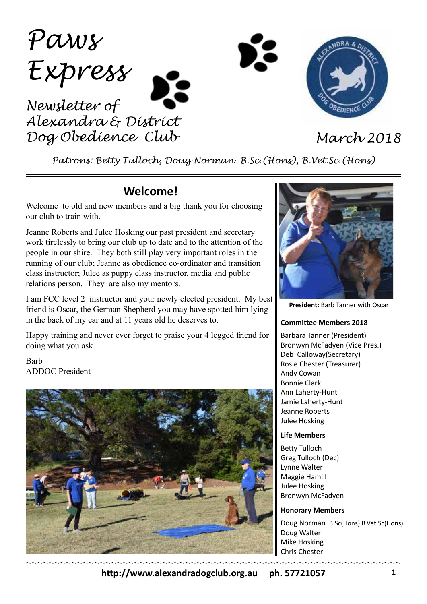*Paws Express Newsletter of Alexandra & District Dog Obedience Club March 2018*

*Patrons: Betty Tulloch, Doug Norman B.Sc.(Hons), B.Vet.Sc.(Hons)*

# **Welcome!**

Welcome to old and new members and a big thank you for choosing our club to train with.

Jeanne Roberts and Julee Hosking our past president and secretary work tirelessly to bring our club up to date and to the attention of the people in our shire. They both still play very important roles in the running of our club; Jeanne as obedience co-ordinator and transition class instructor; Julee as puppy class instructor, media and public relations person. They are also my mentors.

I am FCC level 2 instructor and your newly elected president. My best friend is Oscar, the German Shepherd you may have spotted him lying in the back of my car and at 11 years old he deserves to.

Happy training and never ever forget to praise your 4 legged friend for doing what you ask.

Barb ADDOC President





**President:** Barb Tanner with Oscar

#### **Committee Members 2018**

Barbara Tanner (President) Bronwyn McFadyen (Vice Pres.) Deb Calloway(Secretary) Rosie Chester (Treasurer) Andy Cowan Bonnie Clark Ann Laherty-Hunt Jamie Laherty-Hunt Jeanne Roberts Julee Hosking

#### **Life Members**

Betty Tulloch Greg Tulloch (Dec) Lynne Walter Maggie Hamill Julee Hosking Bronwyn McFadyen

#### **Honorary Members**

Doug Norman B.Sc(Hons) B.Vet.Sc(Hons) Doug Walter Mike Hosking Chris Chester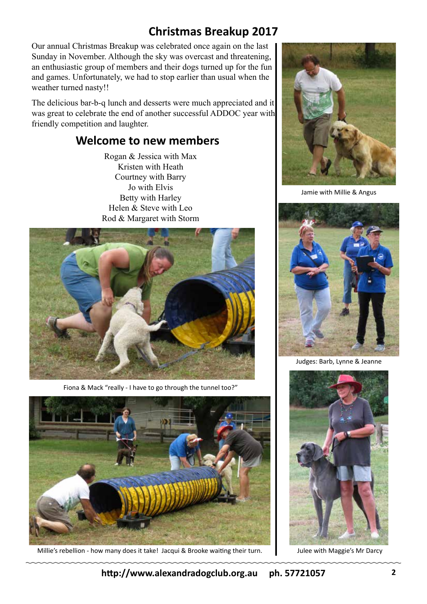# **Christmas Breakup 2017**

Our annual Christmas Breakup was celebrated once again on the last Sunday in November. Although the sky was overcast and threatening, an enthusiastic group of members and their dogs turned up for the fun and games. Unfortunately, we had to stop earlier than usual when the weather turned nasty!!

The delicious bar-b-q lunch and desserts were much appreciated and it was great to celebrate the end of another successful ADDOC year with friendly competition and laughter.

## **Welcome to new members**

Rogan & Jessica with Max Kristen with Heath Courtney with Barry Jo with Elvis Betty with Harley Helen & Steve with Leo Rod & Margaret with Storm



Fiona & Mack "really - I have to go through the tunnel too?"



Millie's rebellion - how many does it take! Jacqui & Brooke waiting their turn. Julee with Maggie's Mr Darcy



Jamie with Millie & Angus



Judges: Barb, Lynne & Jeanne

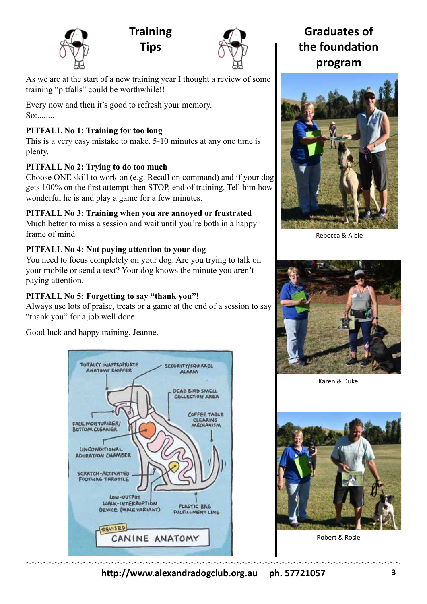

**Training Tips**



As we are at the start of a new training year I thought a review of some training "pitfalls" could be worthwhile!!

Every now and then it's good to refresh your memory. So:........

## **PITFALL No 1: Training for too long**

This is a very easy mistake to make. 5-10 minutes at any one time is plenty.

## **PITFALL No 2: Trying to do too much**

Choose ONE skill to work on (e.g. Recall on command) and if your dog gets 100% on the first attempt then STOP, end of training. Tell him how wonderful he is and play a game for a few minutes.

## **PITFALL No 3: Training when you are annoyed or frustrated**

Much better to miss a session and wait until you're both in a happy frame of mind.

## **PITFALL No 4: Not paying attention to your dog**

You need to focus completely on your dog. Are you trying to talk on your mobile or send a text? Your dog knows the minute you aren't paying attention.

## **PITFALL No 5: Forgetting to say "thank you"!**

Always use lots of praise, treats or a game at the end of a session to say "thank you" for a job well done.

Good luck and happy training, Jeanne.



**Graduates of the foundation program**



Rebecca & Albie



Karen & Duke



Robert & Rosie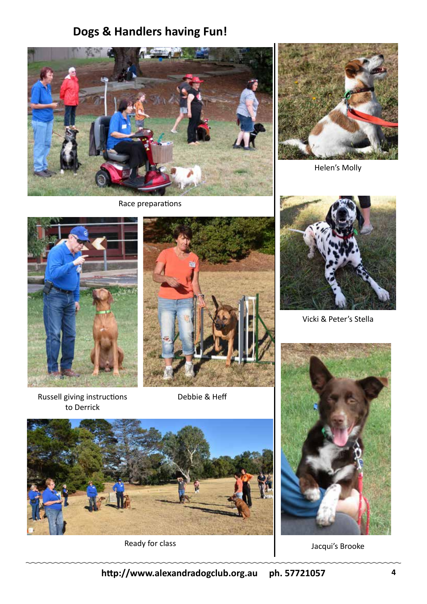# **Dogs & Handlers having Fun!**



Race preparations



Helen's Molly





Russell giving instructions to Derrick

Debbie & Heff



Ready for class



Vicki & Peter's Stella



Jacqui's Brooke